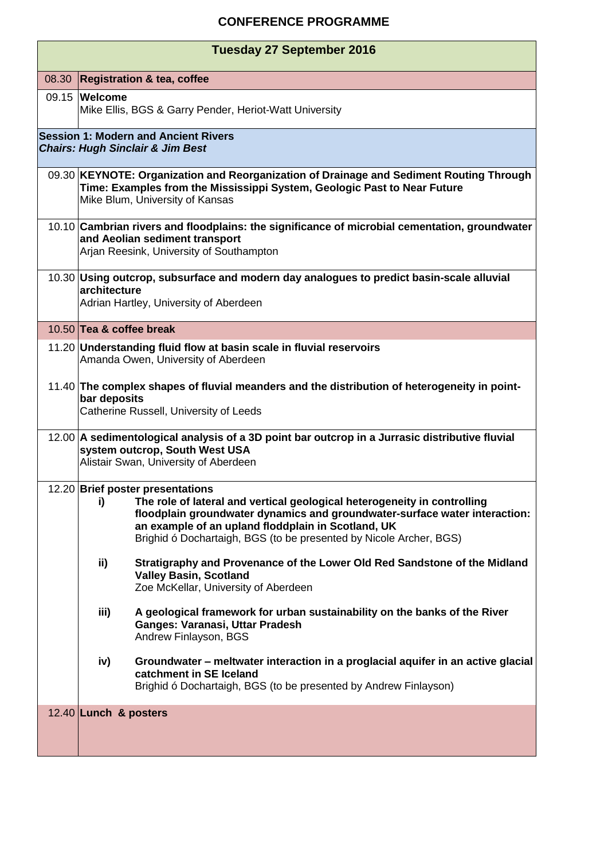## **CONFERENCE PROGRAMME**

| <b>Tuesday 27 September 2016</b>                                                           |                                                                                                                                                                                                                                                                                                                              |  |  |
|--------------------------------------------------------------------------------------------|------------------------------------------------------------------------------------------------------------------------------------------------------------------------------------------------------------------------------------------------------------------------------------------------------------------------------|--|--|
| 08.30                                                                                      | <b>Registration &amp; tea, coffee</b>                                                                                                                                                                                                                                                                                        |  |  |
|                                                                                            | 09.15 Welcome<br>Mike Ellis, BGS & Garry Pender, Heriot-Watt University                                                                                                                                                                                                                                                      |  |  |
| <b>Session 1: Modern and Ancient Rivers</b><br><b>Chairs: Hugh Sinclair &amp; Jim Best</b> |                                                                                                                                                                                                                                                                                                                              |  |  |
|                                                                                            | 09.30 KEYNOTE: Organization and Reorganization of Drainage and Sediment Routing Through<br>Time: Examples from the Mississippi System, Geologic Past to Near Future<br>Mike Blum, University of Kansas                                                                                                                       |  |  |
|                                                                                            | 10.10 Cambrian rivers and floodplains: the significance of microbial cementation, groundwater<br>and Aeolian sediment transport<br>Arjan Reesink, University of Southampton                                                                                                                                                  |  |  |
|                                                                                            | 10.30 Using outcrop, subsurface and modern day analogues to predict basin-scale alluvial<br>architecture<br>Adrian Hartley, University of Aberdeen                                                                                                                                                                           |  |  |
|                                                                                            | 10.50 Tea & coffee break                                                                                                                                                                                                                                                                                                     |  |  |
|                                                                                            | 11.20 Understanding fluid flow at basin scale in fluvial reservoirs<br>Amanda Owen, University of Aberdeen                                                                                                                                                                                                                   |  |  |
|                                                                                            | 11.40 The complex shapes of fluvial meanders and the distribution of heterogeneity in point-<br>bar deposits<br>Catherine Russell, University of Leeds                                                                                                                                                                       |  |  |
|                                                                                            | 12.00 A sedimentological analysis of a 3D point bar outcrop in a Jurrasic distributive fluvial<br>system outcrop, South West USA<br>Alistair Swan, University of Aberdeen                                                                                                                                                    |  |  |
|                                                                                            | 12.20 Brief poster presentations<br>The role of lateral and vertical geological heterogeneity in controlling<br>i)<br>floodplain groundwater dynamics and groundwater-surface water interaction:<br>an example of an upland floddplain in Scotland, UK<br>Brighid ó Dochartaigh, BGS (to be presented by Nicole Archer, BGS) |  |  |
|                                                                                            | ii)<br>Stratigraphy and Provenance of the Lower Old Red Sandstone of the Midland<br><b>Valley Basin, Scotland</b><br>Zoe McKellar, University of Aberdeen                                                                                                                                                                    |  |  |
|                                                                                            | iii)<br>A geological framework for urban sustainability on the banks of the River<br>Ganges: Varanasi, Uttar Pradesh<br>Andrew Finlayson, BGS                                                                                                                                                                                |  |  |
|                                                                                            | Groundwater – meltwater interaction in a proglacial aquifer in an active glacial<br>iv)<br>catchment in SE Iceland<br>Brighid ó Dochartaigh, BGS (to be presented by Andrew Finlayson)                                                                                                                                       |  |  |
|                                                                                            | 12.40 Lunch & posters                                                                                                                                                                                                                                                                                                        |  |  |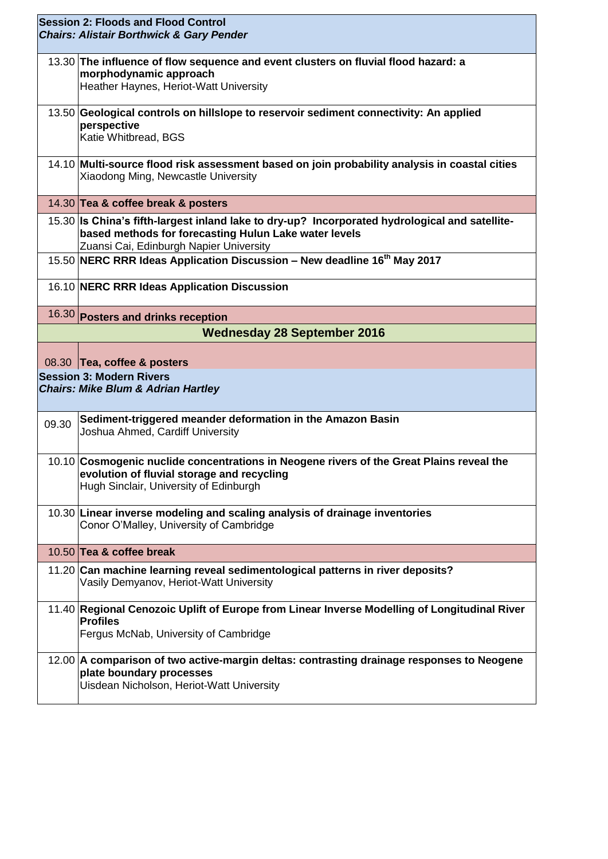| <b>Session 2: Floods and Flood Control</b><br><b>Chairs: Alistair Borthwick &amp; Gary Pender</b> |                                                                                                                                                                                                    |  |
|---------------------------------------------------------------------------------------------------|----------------------------------------------------------------------------------------------------------------------------------------------------------------------------------------------------|--|
|                                                                                                   | 13.30 The influence of flow sequence and event clusters on fluvial flood hazard: a<br>morphodynamic approach<br>Heather Haynes, Heriot-Watt University                                             |  |
|                                                                                                   | 13.50 Geological controls on hillslope to reservoir sediment connectivity: An applied<br>perspective<br>Katie Whitbread, BGS                                                                       |  |
|                                                                                                   | 14.10 Multi-source flood risk assessment based on join probability analysis in coastal cities<br>Xiaodong Ming, Newcastle University                                                               |  |
|                                                                                                   | 14.30 Tea & coffee break & posters                                                                                                                                                                 |  |
|                                                                                                   | 15.30 Is China's fifth-largest inland lake to dry-up? Incorporated hydrological and satellite-<br>based methods for forecasting Hulun Lake water levels<br>Zuansi Cai, Edinburgh Napier University |  |
|                                                                                                   | 15.50 NERC RRR Ideas Application Discussion - New deadline 16 <sup>th</sup> May 2017                                                                                                               |  |
|                                                                                                   | 16.10 NERC RRR Ideas Application Discussion                                                                                                                                                        |  |
|                                                                                                   | 16.30 Posters and drinks reception                                                                                                                                                                 |  |
|                                                                                                   | <b>Wednesday 28 September 2016</b>                                                                                                                                                                 |  |
|                                                                                                   | 08.30 Tea, coffee & posters                                                                                                                                                                        |  |
| <b>Session 3: Modern Rivers</b><br><b>Chairs: Mike Blum &amp; Adrian Hartley</b>                  |                                                                                                                                                                                                    |  |
| 09.30                                                                                             | Sediment-triggered meander deformation in the Amazon Basin<br>Joshua Ahmed, Cardiff University                                                                                                     |  |
|                                                                                                   | 10.10 Cosmogenic nuclide concentrations in Neogene rivers of the Great Plains reveal the<br>evolution of fluvial storage and recycling<br>Hugh Sinclair, University of Edinburgh                   |  |
|                                                                                                   | 10.30 Linear inverse modeling and scaling analysis of drainage inventories<br>Conor O'Malley, University of Cambridge                                                                              |  |
|                                                                                                   | 10.50 Tea & coffee break                                                                                                                                                                           |  |
|                                                                                                   | 11.20 Can machine learning reveal sedimentological patterns in river deposits?<br>Vasily Demyanov, Heriot-Watt University                                                                          |  |
|                                                                                                   | 11.40 Regional Cenozoic Uplift of Europe from Linear Inverse Modelling of Longitudinal River<br><b>Profiles</b><br>Fergus McNab, University of Cambridge                                           |  |
|                                                                                                   | 12.00 A comparison of two active-margin deltas: contrasting drainage responses to Neogene<br>plate boundary processes<br>Uisdean Nicholson, Heriot-Watt University                                 |  |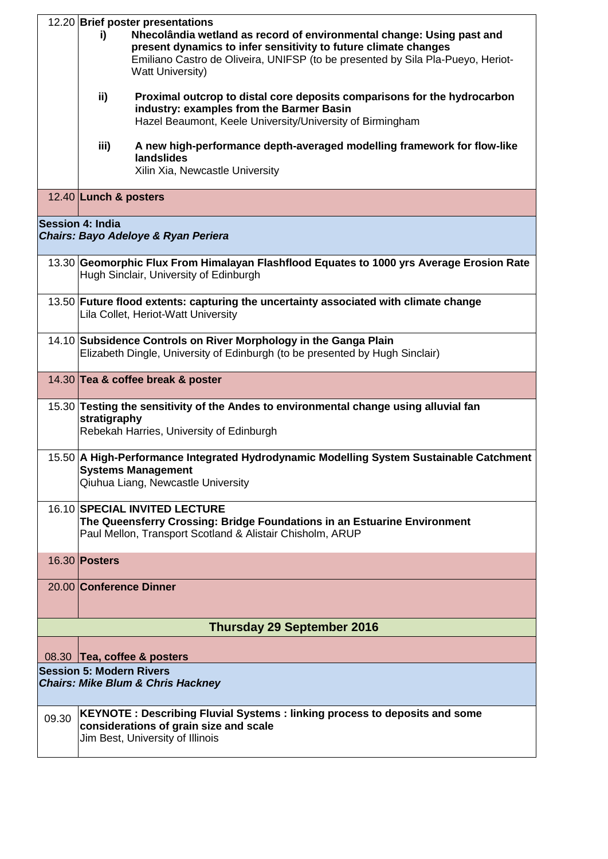|                                                                | 12.20 Brief poster presentations<br>Nhecolândia wetland as record of environmental change: Using past and<br>i)<br>present dynamics to infer sensitivity to future climate changes<br>Emiliano Castro de Oliveira, UNIFSP (to be presented by Sila Pla-Pueyo, Heriot-<br><b>Watt University)</b><br>ii)<br>Proximal outcrop to distal core deposits comparisons for the hydrocarbon<br>industry: examples from the Barmer Basin<br>Hazel Beaumont, Keele University/University of Birmingham |  |  |
|----------------------------------------------------------------|----------------------------------------------------------------------------------------------------------------------------------------------------------------------------------------------------------------------------------------------------------------------------------------------------------------------------------------------------------------------------------------------------------------------------------------------------------------------------------------------|--|--|
|                                                                | A new high-performance depth-averaged modelling framework for flow-like<br>iii)<br>landslides<br>Xilin Xia, Newcastle University                                                                                                                                                                                                                                                                                                                                                             |  |  |
|                                                                | 12.40 Lunch & posters                                                                                                                                                                                                                                                                                                                                                                                                                                                                        |  |  |
| <b>Session 4: India</b><br>Chairs: Bayo Adeloye & Ryan Periera |                                                                                                                                                                                                                                                                                                                                                                                                                                                                                              |  |  |
|                                                                | 13.30 Geomorphic Flux From Himalayan Flashflood Equates to 1000 yrs Average Erosion Rate<br>Hugh Sinclair, University of Edinburgh                                                                                                                                                                                                                                                                                                                                                           |  |  |
|                                                                | 13.50 Future flood extents: capturing the uncertainty associated with climate change<br>Lila Collet, Heriot-Watt University                                                                                                                                                                                                                                                                                                                                                                  |  |  |
|                                                                | 14.10 Subsidence Controls on River Morphology in the Ganga Plain<br>Elizabeth Dingle, University of Edinburgh (to be presented by Hugh Sinclair)                                                                                                                                                                                                                                                                                                                                             |  |  |
|                                                                | 14.30 Tea & coffee break & poster                                                                                                                                                                                                                                                                                                                                                                                                                                                            |  |  |
|                                                                | 15.30 Testing the sensitivity of the Andes to environmental change using alluvial fan<br>stratigraphy<br>Rebekah Harries, University of Edinburgh                                                                                                                                                                                                                                                                                                                                            |  |  |
|                                                                | 15.50 A High-Performance Integrated Hydrodynamic Modelling System Sustainable Catchment<br><b>Systems Management</b><br>Qiuhua Liang, Newcastle University                                                                                                                                                                                                                                                                                                                                   |  |  |
|                                                                | <b>16.10 SPECIAL INVITED LECTURE</b><br>The Queensferry Crossing: Bridge Foundations in an Estuarine Environment<br>Paul Mellon, Transport Scotland & Alistair Chisholm, ARUP                                                                                                                                                                                                                                                                                                                |  |  |
|                                                                | 16.30 <b>Posters</b>                                                                                                                                                                                                                                                                                                                                                                                                                                                                         |  |  |
|                                                                | 20.00 Conference Dinner                                                                                                                                                                                                                                                                                                                                                                                                                                                                      |  |  |
|                                                                | <b>Thursday 29 September 2016</b>                                                                                                                                                                                                                                                                                                                                                                                                                                                            |  |  |
|                                                                | 08.30 Tea, coffee & posters                                                                                                                                                                                                                                                                                                                                                                                                                                                                  |  |  |
|                                                                | <b>Session 5: Modern Rivers</b><br><b>Chairs: Mike Blum &amp; Chris Hackney</b>                                                                                                                                                                                                                                                                                                                                                                                                              |  |  |
| 09.30                                                          | KEYNOTE : Describing Fluvial Systems : linking process to deposits and some<br>considerations of grain size and scale<br>Jim Best, University of Illinois                                                                                                                                                                                                                                                                                                                                    |  |  |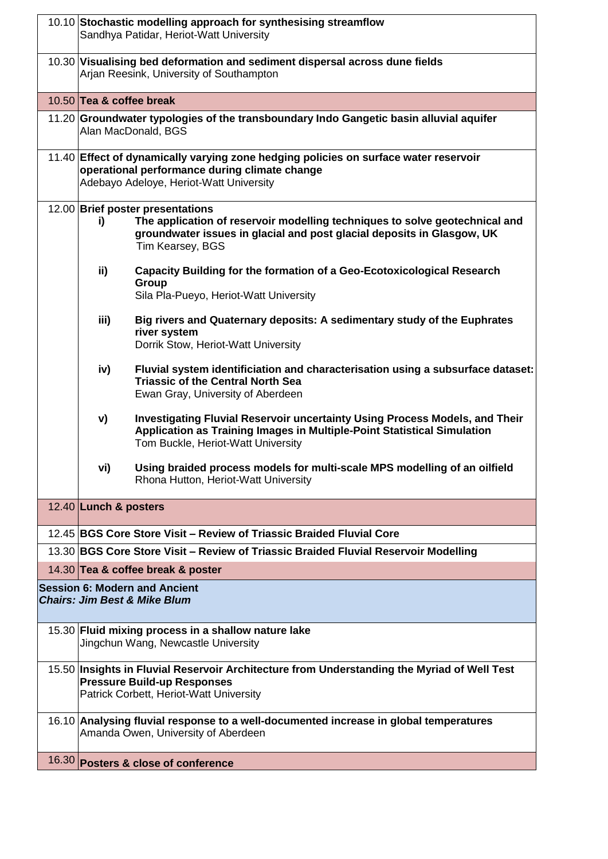| 10.10 Stochastic modelling approach for synthesising streamflow<br>Sandhya Patidar, Heriot-Watt University                                                                                                          |
|---------------------------------------------------------------------------------------------------------------------------------------------------------------------------------------------------------------------|
| 10.30 Visualising bed deformation and sediment dispersal across dune fields<br>Arjan Reesink, University of Southampton                                                                                             |
| 10.50 Tea & coffee break                                                                                                                                                                                            |
| 11.20 Groundwater typologies of the transboundary Indo Gangetic basin alluvial aquifer<br>Alan MacDonald, BGS                                                                                                       |
| 11.40 Effect of dynamically varying zone hedging policies on surface water reservoir<br>operational performance during climate change<br>Adebayo Adeloye, Heriot-Watt University                                    |
| 12.00 Brief poster presentations<br>The application of reservoir modelling techniques to solve geotechnical and<br>i)<br>groundwater issues in glacial and post glacial deposits in Glasgow, UK<br>Tim Kearsey, BGS |
| ii)<br>Capacity Building for the formation of a Geo-Ecotoxicological Research<br>Group<br>Sila Pla-Pueyo, Heriot-Watt University                                                                                    |
| iii)<br>Big rivers and Quaternary deposits: A sedimentary study of the Euphrates<br>river system<br>Dorrik Stow, Heriot-Watt University                                                                             |
| Fluvial system identificiation and characterisation using a subsurface dataset:<br>iv)<br><b>Triassic of the Central North Sea</b><br>Ewan Gray, University of Aberdeen                                             |
| Investigating Fluvial Reservoir uncertainty Using Process Models, and Their<br>V)<br>Application as Training Images in Multiple-Point Statistical Simulation<br>Tom Buckle, Heriot-Watt University                  |
| Using braided process models for multi-scale MPS modelling of an oilfield<br>vi)<br>Rhona Hutton, Heriot-Watt University                                                                                            |
| 12.40 Lunch & posters                                                                                                                                                                                               |
| 12.45 BGS Core Store Visit - Review of Triassic Braided Fluvial Core                                                                                                                                                |
| 13.30 BGS Core Store Visit - Review of Triassic Braided Fluvial Reservoir Modelling                                                                                                                                 |
| 14.30 Tea & coffee break & poster                                                                                                                                                                                   |
| <b>Session 6: Modern and Ancient</b><br><b>Chairs: Jim Best &amp; Mike Blum</b>                                                                                                                                     |
| 15.30 Fluid mixing process in a shallow nature lake<br>Jingchun Wang, Newcastle University                                                                                                                          |
| 15.50 Insights in Fluvial Reservoir Architecture from Understanding the Myriad of Well Test<br><b>Pressure Build-up Responses</b><br>Patrick Corbett, Heriot-Watt University                                        |
| 16.10 Analysing fluvial response to a well-documented increase in global temperatures<br>Amanda Owen, University of Aberdeen                                                                                        |
| 16.30 Posters & close of conference                                                                                                                                                                                 |